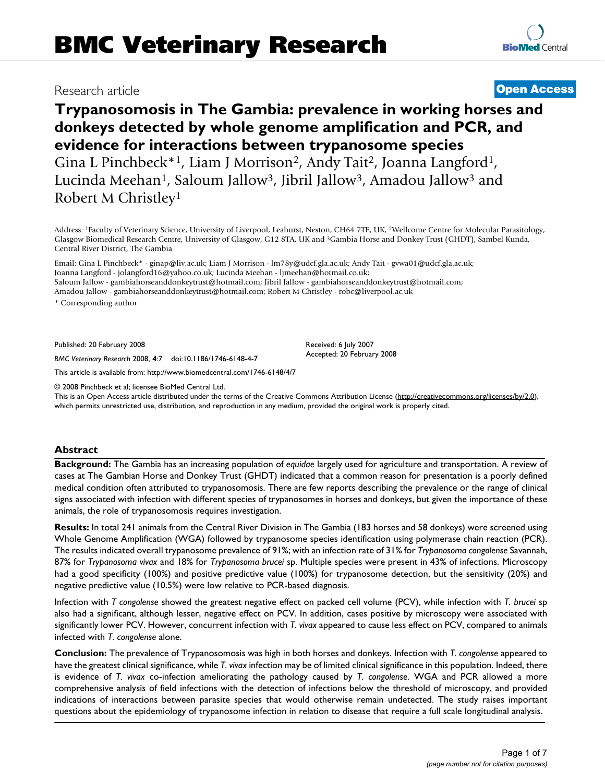# Research article **[Open Access](http://www.biomedcentral.com/info/about/charter/)**

# **Trypanosomosis in The Gambia: prevalence in working horses and donkeys detected by whole genome amplification and PCR, and evidence for interactions between trypanosome species** Gina L Pinchbeck<sup>\*1</sup>, Liam J Morrison<sup>2</sup>, Andy Tait<sup>2</sup>, Joanna Langford<sup>1</sup>,

Lucinda Meehan<sup>1</sup>, Saloum Jallow<sup>3</sup>, Jibril Jallow<sup>3</sup>, Amadou Jallow<sup>3</sup> and Robert M Christley1

Address: 1Faculty of Veterinary Science, University of Liverpool, Leahurst, Neston, CH64 7TE, UK, 2Wellcome Centre for Molecular Parasitology, Glasgow Biomedical Research Centre, University of Glasgow, G12 8TA, UK and 3Gambia Horse and Donkey Trust (GHDT), Sambel Kunda, Central River District, The Gambia

Email: Gina L Pinchbeck\* - ginap@liv.ac.uk; Liam J Morrison - lm78y@udcf.gla.ac.uk; Andy Tait - gvwa01@udcf.gla.ac.uk; Joanna Langford - jolangford16@yahoo.co.uk; Lucinda Meehan - ljmeehan@hotmail.co.uk; Saloum Jallow - gambiahorseanddonkeytrust@hotmail.com; Jibril Jallow - gambiahorseanddonkeytrust@hotmail.com; Amadou Jallow - gambiahorseanddonkeytrust@hotmail.com; Robert M Christley - robc@liverpool.ac.uk

\* Corresponding author

Published: 20 February 2008

*BMC Veterinary Research* 2008, **4**:7 doi:10.1186/1746-6148-4-7

[This article is available from: http://www.biomedcentral.com/1746-6148/4/7](http://www.biomedcentral.com/1746-6148/4/7)

© 2008 Pinchbeck et al; licensee BioMed Central Ltd.

This is an Open Access article distributed under the terms of the Creative Commons Attribution License [\(http://creativecommons.org/licenses/by/2.0\)](http://creativecommons.org/licenses/by/2.0), which permits unrestricted use, distribution, and reproduction in any medium, provided the original work is properly cited.

# **Abstract**

**Background:** The Gambia has an increasing population of *equidae* largely used for agriculture and transportation. A review of cases at The Gambian Horse and Donkey Trust (GHDT) indicated that a common reason for presentation is a poorly defined medical condition often attributed to trypanosomosis. There are few reports describing the prevalence or the range of clinical signs associated with infection with different species of trypanosomes in horses and donkeys, but given the importance of these animals, the role of trypanosomosis requires investigation.

**Results:** In total 241 animals from the Central River Division in The Gambia (183 horses and 58 donkeys) were screened using Whole Genome Amplification (WGA) followed by trypanosome species identification using polymerase chain reaction (PCR). The results indicated overall trypanosome prevalence of 91%; with an infection rate of 31% for *Trypanosoma congolense* Savannah, 87% for *Trypanosoma vivax* and 18% for *Trypanosoma brucei* sp. Multiple species were present in 43% of infections. Microscopy had a good specificity (100%) and positive predictive value (100%) for trypanosome detection, but the sensitivity (20%) and negative predictive value (10.5%) were low relative to PCR-based diagnosis.

Infection with *T congolense* showed the greatest negative effect on packed cell volume (PCV), while infection with *T. brucei* sp also had a significant, although lesser, negative effect on PCV. In addition, cases positive by microscopy were associated with significantly lower PCV. However, concurrent infection with *T. vivax* appeared to cause less effect on PCV, compared to animals infected with *T. congolense* alone.

**Conclusion:** The prevalence of Trypanosomosis was high in both horses and donkeys. Infection with *T. congolense* appeared to have the greatest clinical significance, while *T. vivax* infection may be of limited clinical significance in this population. Indeed, there is evidence of *T. vivax* co-infection ameliorating the pathology caused by *T. congolense*. WGA and PCR allowed a more comprehensive analysis of field infections with the detection of infections below the threshold of microscopy, and provided indications of interactions between parasite species that would otherwise remain undetected. The study raises important questions about the epidemiology of trypanosome infection in relation to disease that require a full scale longitudinal analysis.

Received: 6 July 2007

Accepted: 20 February 2008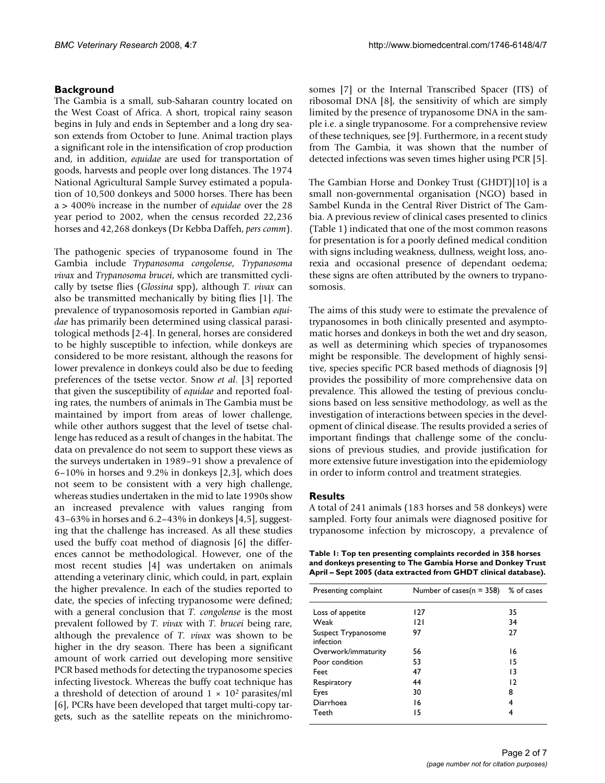#### **Background**

The Gambia is a small, sub-Saharan country located on the West Coast of Africa. A short, tropical rainy season begins in July and ends in September and a long dry season extends from October to June. Animal traction plays a significant role in the intensification of crop production and, in addition, *equidae* are used for transportation of goods, harvests and people over long distances. The 1974 National Agricultural Sample Survey estimated a population of 10,500 donkeys and 5000 horses. There has been a > 400% increase in the number of *equidae* over the 28 year period to 2002, when the census recorded 22,236 horses and 42,268 donkeys (Dr Kebba Daffeh, *pers comm*).

The pathogenic species of trypanosome found in The Gambia include *Trypanosoma congolense*, *Trypanosoma vivax* and *Trypanosoma brucei*, which are transmitted cyclically by tsetse flies (*Glossina* spp), although *T. vivax* can also be transmitted mechanically by biting flies [1]. The prevalence of trypanosomosis reported in Gambian *equidae* has primarily been determined using classical parasitological methods [2-4]. In general, horses are considered to be highly susceptible to infection, while donkeys are considered to be more resistant, although the reasons for lower prevalence in donkeys could also be due to feeding preferences of the tsetse vector. Snow *et al*. [3] reported that given the susceptibility of *equidae* and reported foaling rates, the numbers of animals in The Gambia must be maintained by import from areas of lower challenge, while other authors suggest that the level of tsetse challenge has reduced as a result of changes in the habitat. The data on prevalence do not seem to support these views as the surveys undertaken in 1989–91 show a prevalence of 6–10% in horses and 9.2% in donkeys [2,3], which does not seem to be consistent with a very high challenge, whereas studies undertaken in the mid to late 1990s show an increased prevalence with values ranging from 43–63% in horses and 6.2–43% in donkeys [4,5], suggesting that the challenge has increased. As all these studies used the buffy coat method of diagnosis [6] the differences cannot be methodological. However, one of the most recent studies [4] was undertaken on animals attending a veterinary clinic, which could, in part, explain the higher prevalence. In each of the studies reported to date, the species of infecting trypanosome were defined; with a general conclusion that *T. congolense* is the most prevalent followed by *T. vivax* with *T. brucei* being rare, although the prevalence of *T. vivax* was shown to be higher in the dry season. There has been a significant amount of work carried out developing more sensitive PCR based methods for detecting the trypanosome species infecting livestock. Whereas the buffy coat technique has a threshold of detection of around  $1 \times 10^2$  parasites/ml [6], PCRs have been developed that target multi-copy targets, such as the satellite repeats on the minichromosomes [7] or the Internal Transcribed Spacer (ITS) of ribosomal DNA [8], the sensitivity of which are simply limited by the presence of trypanosome DNA in the sample i.e. a single trypanosome. For a comprehensive review of these techniques, see [9]. Furthermore, in a recent study from The Gambia, it was shown that the number of detected infections was seven times higher using PCR [5].

The Gambian Horse and Donkey Trust (GHDT)[10] is a small non-governmental organisation (NGO) based in Sambel Kunda in the Central River District of The Gambia. A previous review of clinical cases presented to clinics (Table 1) indicated that one of the most common reasons for presentation is for a poorly defined medical condition with signs including weakness, dullness, weight loss, anorexia and occasional presence of dependant oedema; these signs are often attributed by the owners to trypanosomosis.

The aims of this study were to estimate the prevalence of trypanosomes in both clinically presented and asymptomatic horses and donkeys in both the wet and dry season, as well as determining which species of trypanosomes might be responsible. The development of highly sensitive, species specific PCR based methods of diagnosis [9] provides the possibility of more comprehensive data on prevalence. This allowed the testing of previous conclusions based on less sensitive methodology, as well as the investigation of interactions between species in the development of clinical disease. The results provided a series of important findings that challenge some of the conclusions of previous studies, and provide justification for more extensive future investigation into the epidemiology in order to inform control and treatment strategies.

#### **Results**

A total of 241 animals (183 horses and 58 donkeys) were sampled. Forty four animals were diagnosed positive for trypanosome infection by microscopy, a prevalence of

**Table 1: Top ten presenting complaints recorded in 358 horses and donkeys presenting to The Gambia Horse and Donkey Trust April – Sept 2005 (data extracted from GHDT clinical database).**

| Presenting complaint             | Number of cases $(n = 358)$ % of cases |    |
|----------------------------------|----------------------------------------|----|
| Loss of appetite                 | 127                                    | 35 |
| Weak                             | 2                                      | 34 |
| Suspect Trypanosome<br>infection | 97                                     | 27 |
| Overwork/immaturity              | 56                                     | 16 |
| Poor condition                   | 53                                     | 15 |
| Feet                             | 47                                     | 13 |
| Respiratory                      | 44                                     | 12 |
| Eyes                             | 30                                     | 8  |
| Diarrhoea                        | 16                                     | 4  |
| Teeth                            | 15                                     | 4  |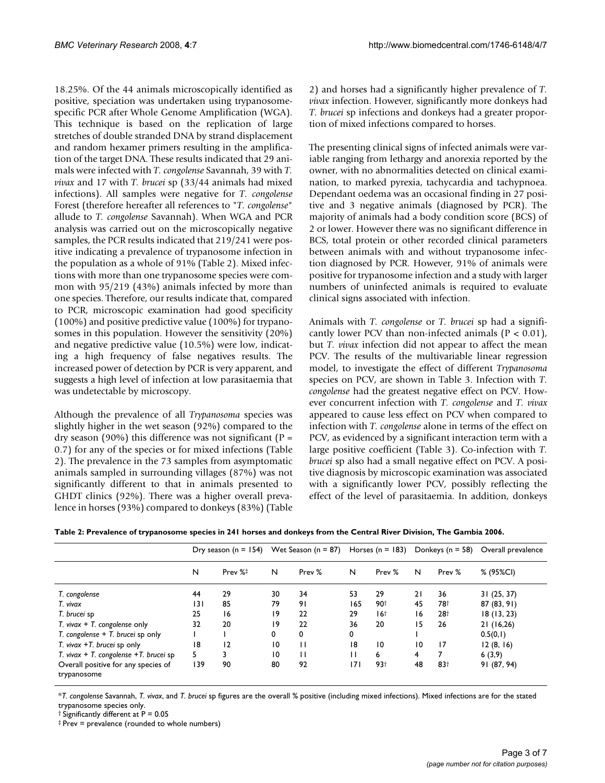18.25%. Of the 44 animals microscopically identified as positive, speciation was undertaken using trypanosomespecific PCR after Whole Genome Amplification (WGA). This technique is based on the replication of large stretches of double stranded DNA by strand displacement and random hexamer primers resulting in the amplification of the target DNA. These results indicated that 29 animals were infected with *T. congolense* Savannah, 39 with *T. vivax* and 17 with *T. brucei* sp (33/44 animals had mixed infections). All samples were negative for *T. congolense* Forest (therefore hereafter all references to "*T. congolense*" allude to *T. congolense* Savannah). When WGA and PCR analysis was carried out on the microscopically negative samples, the PCR results indicated that 219/241 were positive indicating a prevalence of trypanosome infection in the population as a whole of 91% (Table 2). Mixed infections with more than one trypanosome species were common with 95/219 (43%) animals infected by more than one species. Therefore, our results indicate that, compared to PCR, microscopic examination had good specificity (100%) and positive predictive value (100%) for trypanosomes in this population. However the sensitivity (20%) and negative predictive value (10.5%) were low, indicating a high frequency of false negatives results. The increased power of detection by PCR is very apparent, and suggests a high level of infection at low parasitaemia that was undetectable by microscopy.

Although the prevalence of all *Trypanosoma* species was slightly higher in the wet season (92%) compared to the dry season (90%) this difference was not significant ( $P =$ 0.7) for any of the species or for mixed infections (Table 2). The prevalence in the 73 samples from asymptomatic animals sampled in surrounding villages (87%) was not significantly different to that in animals presented to GHDT clinics (92%). There was a higher overall prevalence in horses (93%) compared to donkeys (83%) (Table 2) and horses had a significantly higher prevalence of *T. vivax* infection. However, significantly more donkeys had *T. brucei* sp infections and donkeys had a greater proportion of mixed infections compared to horses.

The presenting clinical signs of infected animals were variable ranging from lethargy and anorexia reported by the owner, with no abnormalities detected on clinical examination, to marked pyrexia, tachycardia and tachypnoea. Dependant oedema was an occasional finding in 27 positive and 3 negative animals (diagnosed by PCR). The majority of animals had a body condition score (BCS) of 2 or lower. However there was no significant difference in BCS, total protein or other recorded clinical parameters between animals with and without trypanosome infection diagnosed by PCR. However, 91% of animals were positive for trypanosome infection and a study with larger numbers of uninfected animals is required to evaluate clinical signs associated with infection.

Animals with *T. congolense* or *T. brucei* sp had a significantly lower PCV than non-infected animals ( $P < 0.01$ ), but *T. vivax* infection did not appear to affect the mean PCV. The results of the multivariable linear regression model, to investigate the effect of different *Trypanosoma* species on PCV, are shown in Table 3. Infection with *T. congolense* had the greatest negative effect on PCV. However concurrent infection with *T. congolense* and *T. vivax* appeared to cause less effect on PCV when compared to infection with *T. congolense* alone in terms of the effect on PCV, as evidenced by a significant interaction term with a large positive coefficient (Table 3). Co-infection with *T. brucei* sp also had a small negative effect on PCV. A positive diagnosis by microscopic examination was associated with a significantly lower PCV, possibly reflecting the effect of the level of parasitaemia. In addition, donkeys

| Table 2: Prevalence of trypanosome species in 241 horses and donkeys from the Central River Division, The Gambia 2006. |  |
|------------------------------------------------------------------------------------------------------------------------|--|
|                                                                                                                        |  |

|                                                    |     | Dry season ( $n = 154$ ) |    | Wet Season ( $n = 87$ ) |     | Horses ( $n = 183$ ) |    | Donkeys ( $n = 58$ ) | Overall prevalence |
|----------------------------------------------------|-----|--------------------------|----|-------------------------|-----|----------------------|----|----------------------|--------------------|
|                                                    | N   | Prev %‡                  | N  | Prev %                  | N   | Prev %               | N  | Prev %               | % (95%CI)          |
| T. congolense                                      | 44  | 29                       | 30 | 34                      | 53  | 29                   | 21 | 36                   | 31(25, 37)         |
| T. vivax                                           | 131 | 85                       | 79 | 91                      | 165 | 90†                  | 45 | 78†                  | 87 (83, 91)        |
| T. brucei sp                                       | 25  | 16                       | 19 | 22                      | 29  | 16 <sup>†</sup>      | 16 | 28 <sup>†</sup>      | 18(13, 23)         |
| T. vivax $+$ T. congolense only                    | 32  | 20                       | 19 | 22                      | 36  | 20                   | 15 | 26                   | 21(16,26)          |
| T. congolense + T. brucei sp only                  |     |                          | 0  | 0                       | 0   |                      |    |                      | 0.5(0,1)           |
| T. vivax +T. brucei sp only                        | 18  | 12                       | 10 | $\mathbf{H}$            | 18  | $\overline{10}$      | 10 | $\overline{17}$      | 12(8, 16)          |
| T. vivax $+$ T. congolense $+$ T. brucei sp        | 5.  |                          | 10 | $\mathbf{H}$            | п   | 6                    | 4  |                      | 6(3,9)             |
| Overall positive for any species of<br>trypanosome | 139 | 90                       | 80 | 92                      | 171 | 93†                  | 48 | 83†                  | 91 (87, 94)        |

\**T. congolense* Savannah, *T. vivax*, and *T. brucei* sp figures are the overall % positive (including mixed infections). Mixed infections are for the stated trypanosome species only.

† Significantly different at P = 0.05

‡ Prev = prevalence (rounded to whole numbers)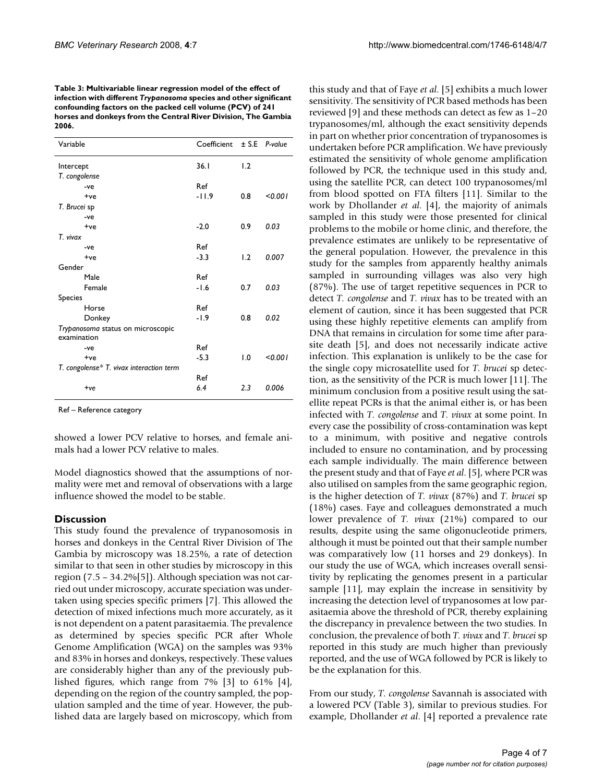**Table 3: Multivariable linear regression model of the effect of infection with different** *Trypanosoma* **species and other significant confounding factors on the packed cell volume (PCV) of 241 horses and donkeys from the Central River Division, The Gambia 2006.**

| Variable                                 | Coefficient ± S.E P-value |     |         |
|------------------------------------------|---------------------------|-----|---------|
| Intercept                                | 36.1                      | 1.2 |         |
| T. congolense                            |                           |     |         |
| $-ve$                                    | Ref                       |     |         |
| $+ve$                                    | $-11.9$                   | 0.8 | < 0.001 |
| T. Brucei sp                             |                           |     |         |
| -ve                                      |                           |     |         |
| +ve                                      | $-2.0$                    | 0.9 | 0.03    |
| T. vivax                                 |                           |     |         |
| $-ve$                                    | Ref                       |     |         |
| +ve                                      | $-3.3$                    | 1.2 | 0.007   |
| Gender                                   |                           |     |         |
| Male                                     | Ref                       |     |         |
| Female                                   | $-1.6$                    | 0.7 | 0.03    |
| Species                                  |                           |     |         |
| Horse                                    | Ref                       |     |         |
| Donkey                                   | $-1.9$                    | 0.8 | 0.02    |
| Trypanosoma status on microscopic        |                           |     |         |
| examination                              |                           |     |         |
| $-ve$                                    | Ref                       |     |         |
| $+ve$                                    | $-5.3$                    | 1.0 | < 0.001 |
| T. congolense* T. vivax interaction term |                           |     |         |
|                                          | Ref                       |     |         |
| $+ve$                                    | 6.4                       | 2.3 | 0.006   |
|                                          |                           |     |         |

Ref – Reference category

showed a lower PCV relative to horses, and female animals had a lower PCV relative to males.

Model diagnostics showed that the assumptions of normality were met and removal of observations with a large influence showed the model to be stable.

#### **Discussion**

This study found the prevalence of trypanosomosis in horses and donkeys in the Central River Division of The Gambia by microscopy was 18.25%, a rate of detection similar to that seen in other studies by microscopy in this region (7.5 – 34.2%[5]). Although speciation was not carried out under microscopy, accurate speciation was undertaken using species specific primers [7]. This allowed the detection of mixed infections much more accurately, as it is not dependent on a patent parasitaemia. The prevalence as determined by species specific PCR after Whole Genome Amplification (WGA) on the samples was 93% and 83% in horses and donkeys, respectively. These values are considerably higher than any of the previously published figures, which range from 7% [3] to 61% [4], depending on the region of the country sampled, the population sampled and the time of year. However, the published data are largely based on microscopy, which from

this study and that of Faye *et al*. [5] exhibits a much lower sensitivity. The sensitivity of PCR based methods has been reviewed [9] and these methods can detect as few as 1–20 trypanosomes/ml, although the exact sensitivity depends in part on whether prior concentration of trypanosomes is undertaken before PCR amplification. We have previously estimated the sensitivity of whole genome amplification followed by PCR, the technique used in this study and, using the satellite PCR, can detect 100 trypanosomes/ml from blood spotted on FTA filters [11]. Similar to the work by Dhollander *et al*. [4], the majority of animals sampled in this study were those presented for clinical problems to the mobile or home clinic, and therefore, the prevalence estimates are unlikely to be representative of the general population. However, the prevalence in this study for the samples from apparently healthy animals sampled in surrounding villages was also very high (87%). The use of target repetitive sequences in PCR to detect *T. congolense* and *T. vivax* has to be treated with an element of caution, since it has been suggested that PCR using these highly repetitive elements can amplify from DNA that remains in circulation for some time after parasite death [5], and does not necessarily indicate active infection. This explanation is unlikely to be the case for the single copy microsatellite used for *T. brucei* sp detection, as the sensitivity of the PCR is much lower [11]. The minimum conclusion from a positive result using the satellite repeat PCRs is that the animal either is, or has been infected with *T. congolense* and *T. vivax* at some point. In every case the possibility of cross-contamination was kept to a minimum, with positive and negative controls included to ensure no contamination, and by processing each sample individually. The main difference between the present study and that of Faye *et al*. [5], where PCR was also utilised on samples from the same geographic region, is the higher detection of *T. vivax* (87%) and *T. brucei* sp (18%) cases. Faye and colleagues demonstrated a much lower prevalence of *T. vivax* (21%) compared to our results, despite using the same oligonucleotide primers, although it must be pointed out that their sample number was comparatively low (11 horses and 29 donkeys). In our study the use of WGA, which increases overall sensitivity by replicating the genomes present in a particular sample [11], may explain the increase in sensitivity by increasing the detection level of trypanosomes at low parasitaemia above the threshold of PCR, thereby explaining the discrepancy in prevalence between the two studies. In conclusion, the prevalence of both *T. vivax* and *T. brucei* sp reported in this study are much higher than previously reported, and the use of WGA followed by PCR is likely to be the explanation for this.

From our study, *T. congolense* Savannah is associated with a lowered PCV (Table 3), similar to previous studies. For example, Dhollander *et al*. [4] reported a prevalence rate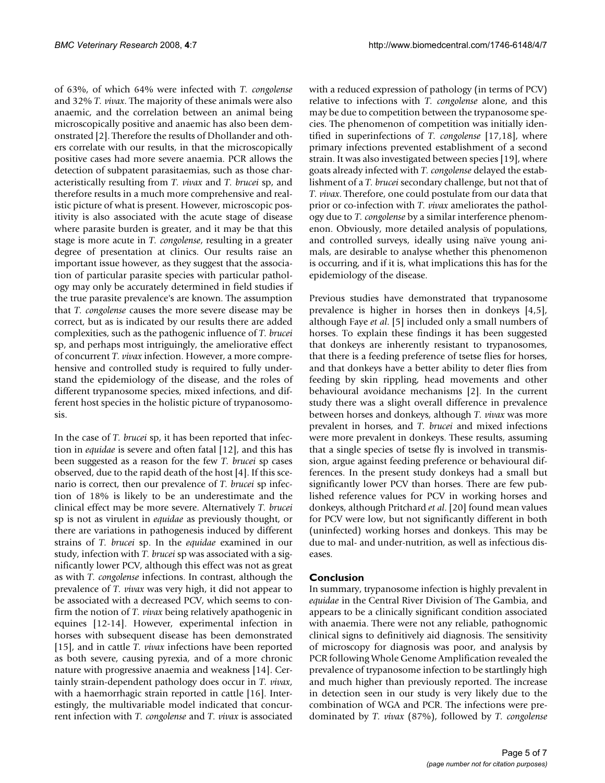of 63%, of which 64% were infected with *T. congolense* and 32% *T. vivax*. The majority of these animals were also anaemic, and the correlation between an animal being microscopically positive and anaemic has also been demonstrated [2]. Therefore the results of Dhollander and others correlate with our results, in that the microscopically positive cases had more severe anaemia. PCR allows the detection of subpatent parasitaemias, such as those characteristically resulting from *T. vivax* and *T. brucei* sp, and therefore results in a much more comprehensive and realistic picture of what is present. However, microscopic positivity is also associated with the acute stage of disease where parasite burden is greater, and it may be that this stage is more acute in *T. congolense*, resulting in a greater degree of presentation at clinics. Our results raise an important issue however, as they suggest that the association of particular parasite species with particular pathology may only be accurately determined in field studies if the true parasite prevalence's are known. The assumption that *T. congolense* causes the more severe disease may be correct, but as is indicated by our results there are added complexities, such as the pathogenic influence of *T. brucei* sp, and perhaps most intriguingly, the ameliorative effect of concurrent *T. vivax* infection. However, a more comprehensive and controlled study is required to fully understand the epidemiology of the disease, and the roles of different trypanosome species, mixed infections, and different host species in the holistic picture of trypanosomosis.

In the case of *T. brucei* sp, it has been reported that infection in *equidae* is severe and often fatal [12], and this has been suggested as a reason for the few *T. brucei* sp cases observed, due to the rapid death of the host [4]. If this scenario is correct, then our prevalence of *T. brucei* sp infection of 18% is likely to be an underestimate and the clinical effect may be more severe. Alternatively *T. brucei* sp is not as virulent in *equidae* as previously thought, or there are variations in pathogenesis induced by different strains of *T. brucei* sp. In the *equidae* examined in our study, infection with *T. brucei* sp was associated with a significantly lower PCV, although this effect was not as great as with *T. congolense* infections. In contrast, although the prevalence of *T. vivax* was very high, it did not appear to be associated with a decreased PCV, which seems to confirm the notion of *T. vivax* being relatively apathogenic in equines [12-14]. However, experimental infection in horses with subsequent disease has been demonstrated [15], and in cattle *T. vivax* infections have been reported as both severe, causing pyrexia, and of a more chronic nature with progressive anaemia and weakness [14]. Certainly strain-dependent pathology does occur in *T. vivax*, with a haemorrhagic strain reported in cattle [16]. Interestingly, the multivariable model indicated that concurrent infection with *T. congolense* and *T. vivax* is associated

with a reduced expression of pathology (in terms of PCV) relative to infections with *T. congolense* alone, and this may be due to competition between the trypanosome species. The phenomenon of competition was initially identified in superinfections of *T. congolense* [17,18], where primary infections prevented establishment of a second strain. It was also investigated between species [19], where goats already infected with *T. congolense* delayed the establishment of a *T. brucei* secondary challenge, but not that of *T. vivax*. Therefore, one could postulate from our data that prior or co-infection with *T. vivax* ameliorates the pathology due to *T. congolense* by a similar interference phenomenon. Obviously, more detailed analysis of populations, and controlled surveys, ideally using naïve young animals, are desirable to analyse whether this phenomenon is occurring, and if it is, what implications this has for the epidemiology of the disease.

Previous studies have demonstrated that trypanosome prevalence is higher in horses then in donkeys [4,5], although Faye *et al*. [5] included only a small numbers of horses. To explain these findings it has been suggested that donkeys are inherently resistant to trypanosomes, that there is a feeding preference of tsetse flies for horses, and that donkeys have a better ability to deter flies from feeding by skin rippling, head movements and other behavioural avoidance mechanisms [2]. In the current study there was a slight overall difference in prevalence between horses and donkeys, although *T. vivax* was more prevalent in horses, and *T. brucei* and mixed infections were more prevalent in donkeys. These results, assuming that a single species of tsetse fly is involved in transmission, argue against feeding preference or behavioural differences. In the present study donkeys had a small but significantly lower PCV than horses. There are few published reference values for PCV in working horses and donkeys, although Pritchard *et al*. [20] found mean values for PCV were low, but not significantly different in both (uninfected) working horses and donkeys. This may be due to mal- and under-nutrition, as well as infectious diseases.

#### **Conclusion**

In summary, trypanosome infection is highly prevalent in *equidae* in the Central River Division of The Gambia, and appears to be a clinically significant condition associated with anaemia. There were not any reliable, pathognomic clinical signs to definitively aid diagnosis. The sensitivity of microscopy for diagnosis was poor, and analysis by PCR following Whole Genome Amplification revealed the prevalence of trypanosome infection to be startlingly high and much higher than previously reported. The increase in detection seen in our study is very likely due to the combination of WGA and PCR. The infections were predominated by *T. vivax* (87%), followed by *T. congolense*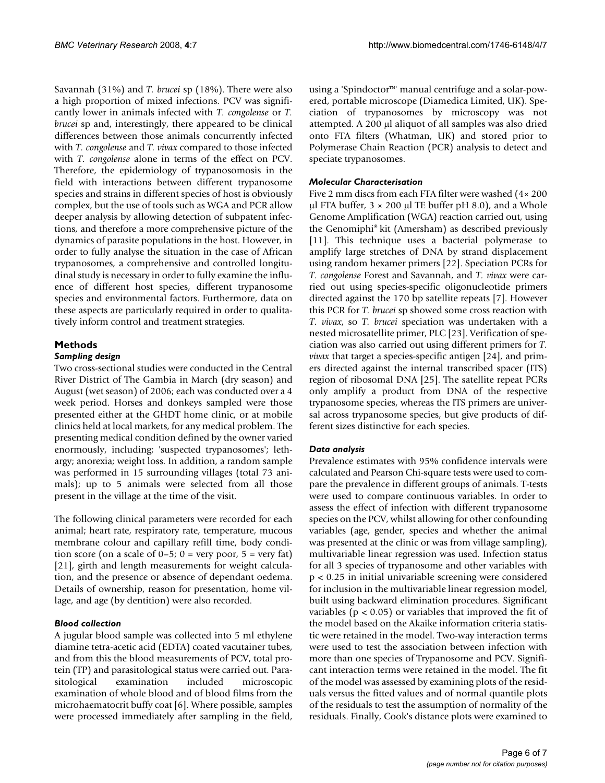Savannah (31%) and *T. brucei* sp (18%). There were also a high proportion of mixed infections. PCV was significantly lower in animals infected with *T. congolense* or *T. brucei* sp and, interestingly, there appeared to be clinical differences between those animals concurrently infected with *T. congolense* and *T. vivax* compared to those infected with *T. congolense* alone in terms of the effect on PCV. Therefore, the epidemiology of trypanosomosis in the field with interactions between different trypanosome species and strains in different species of host is obviously complex, but the use of tools such as WGA and PCR allow deeper analysis by allowing detection of subpatent infections, and therefore a more comprehensive picture of the dynamics of parasite populations in the host. However, in order to fully analyse the situation in the case of African trypanosomes, a comprehensive and controlled longitudinal study is necessary in order to fully examine the influence of different host species, different trypanosome species and environmental factors. Furthermore, data on these aspects are particularly required in order to qualitatively inform control and treatment strategies.

# **Methods**

# *Sampling design*

Two cross-sectional studies were conducted in the Central River District of The Gambia in March (dry season) and August (wet season) of 2006; each was conducted over a 4 week period. Horses and donkeys sampled were those presented either at the GHDT home clinic, or at mobile clinics held at local markets, for any medical problem. The presenting medical condition defined by the owner varied enormously, including; 'suspected trypanosomes'; lethargy; anorexia; weight loss. In addition, a random sample was performed in 15 surrounding villages (total 73 animals); up to 5 animals were selected from all those present in the village at the time of the visit.

The following clinical parameters were recorded for each animal; heart rate, respiratory rate, temperature, mucous membrane colour and capillary refill time, body condition score (on a scale of  $0-5$ ;  $0 =$  very poor,  $5 =$  very fat) [21], girth and length measurements for weight calculation, and the presence or absence of dependant oedema. Details of ownership, reason for presentation, home village, and age (by dentition) were also recorded.

# *Blood collection*

A jugular blood sample was collected into 5 ml ethylene diamine tetra-acetic acid (EDTA) coated vacutainer tubes, and from this the blood measurements of PCV, total protein (TP) and parasitological status were carried out. Parasitological examination included microscopic examination of whole blood and of blood films from the microhaematocrit buffy coat [6]. Where possible, samples were processed immediately after sampling in the field,

using a 'Spindoctor™' manual centrifuge and a solar-powered, portable microscope (Diamedica Limited, UK). Speciation of trypanosomes by microscopy was not attempted. A 200 μl aliquot of all samples was also dried onto FTA filters (Whatman, UK) and stored prior to Polymerase Chain Reaction (PCR) analysis to detect and speciate trypanosomes.

#### *Molecular Characterisation*

Five 2 mm discs from each FTA filter were washed (4× 200 μl FTA buffer,  $3 \times 200$  μl TE buffer pH 8.0), and a Whole Genome Amplification (WGA) reaction carried out, using the Genomiphi® kit (Amersham) as described previously [11]. This technique uses a bacterial polymerase to amplify large stretches of DNA by strand displacement using random hexamer primers [22]. Speciation PCRs for *T. congolense* Forest and Savannah, and *T. vivax* were carried out using species-specific oligonucleotide primers directed against the 170 bp satellite repeats [7]. However this PCR for *T. brucei* sp showed some cross reaction with *T. vivax*, so *T. brucei* speciation was undertaken with a nested microsatellite primer, PLC [23]. Verification of speciation was also carried out using different primers for *T. vivax* that target a species-specific antigen [24], and primers directed against the internal transcribed spacer (ITS) region of ribosomal DNA [25]. The satellite repeat PCRs only amplify a product from DNA of the respective trypanosome species, whereas the ITS primers are universal across trypanosome species, but give products of different sizes distinctive for each species.

# *Data analysis*

Prevalence estimates with 95% confidence intervals were calculated and Pearson Chi-square tests were used to compare the prevalence in different groups of animals. T-tests were used to compare continuous variables. In order to assess the effect of infection with different trypanosome species on the PCV, whilst allowing for other confounding variables (age, gender, species and whether the animal was presented at the clinic or was from village sampling), multivariable linear regression was used. Infection status for all 3 species of trypanosome and other variables with p < 0.25 in initial univariable screening were considered for inclusion in the multivariable linear regression model, built using backward elimination procedures. Significant variables ( $p < 0.05$ ) or variables that improved the fit of the model based on the Akaike information criteria statistic were retained in the model. Two-way interaction terms were used to test the association between infection with more than one species of Trypanosome and PCV. Significant interaction terms were retained in the model. The fit of the model was assessed by examining plots of the residuals versus the fitted values and of normal quantile plots of the residuals to test the assumption of normality of the residuals. Finally, Cook's distance plots were examined to